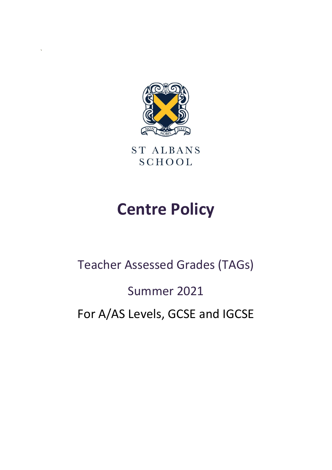

`

**ST ALBANS SCHOOL** 

# **Centre Policy**

Teacher Assessed Grades (TAGs)

Summer 2021

For A/AS Levels, GCSE and IGCSE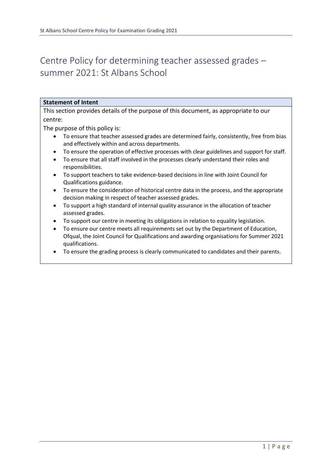## Centre Policy for determining teacher assessed grades – summer 2021: St Albans School

#### **Statement of Intent**

This section provides details of the purpose of this document, as appropriate to our centre:

The purpose of this policy is:

- To ensure that teacher assessed grades are determined fairly, consistently, free from bias and effectively within and across departments.
- To ensure the operation of effective processes with clear guidelines and support for staff.
- To ensure that all staff involved in the processes clearly understand their roles and responsibilities.
- To support teachers to take evidence-based decisions in line with Joint Council for Qualifications guidance.
- To ensure the consideration of historical centre data in the process, and the appropriate decision making in respect of teacher assessed grades.
- To support a high standard of internal quality assurance in the allocation of teacher assessed grades.
- To support our centre in meeting its obligations in relation to equality legislation.
- To ensure our centre meets all requirements set out by the Department of Education, Ofqual, the Joint Council for Qualifications and awarding organisations for Summer 2021 qualifications.
- To ensure the grading process is clearly communicated to candidates and their parents.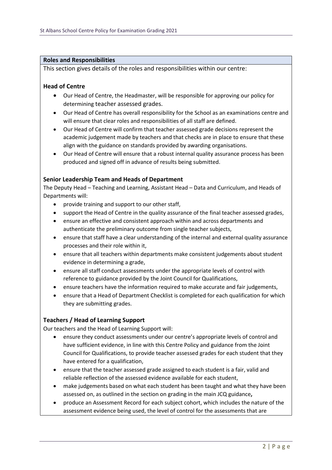#### **Roles and Responsibilities**

This section gives details of the roles and responsibilities within our centre:

#### **Head of Centre**

- Our Head of Centre, the Headmaster, will be responsible for approving our policy for determining teacher assessed grades.
- Our Head of Centre has overall responsibility for the School as an examinations centre and will ensure that clear roles and responsibilities of all staff are defined.
- Our Head of Centre will confirm that teacher assessed grade decisions represent the academic judgement made by teachers and that checks are in place to ensure that these align with the guidance on standards provided by awarding organisations.
- Our Head of Centre will ensure that a robust internal quality assurance process has been produced and signed off in advance of results being submitted.

#### **Senior Leadership Team and Heads of Department**

The Deputy Head – Teaching and Learning, Assistant Head – Data and Curriculum, and Heads of Departments will:

- provide training and support to our other staff,
- support the Head of Centre in the quality assurance of the final teacher assessed grades,
- ensure an effective and consistent approach within and across departments and authenticate the preliminary outcome from single teacher subjects,
- ensure that staff have a clear understanding of the internal and external quality assurance processes and their role within it,
- ensure that all teachers within departments make consistent judgements about student evidence in determining a grade,
- ensure all staff conduct assessments under the appropriate levels of control with reference to guidance provided by the Joint Council for Qualifications,
- ensure teachers have the information required to make accurate and fair judgements,
- ensure that a Head of Department Checklist is completed for each qualification for which they are submitting grades.

#### **Teachers / Head of Learning Support**

Our teachers and the Head of Learning Support will:

- ensure they conduct assessments under our centre's appropriate levels of control and have sufficient evidence, in line with this Centre Policy and guidance from the Joint Council for Qualifications, to provide teacher assessed grades for each student that they have entered for a qualification,
- ensure that the teacher assessed grade assigned to each student is a fair, valid and reliable reflection of the assessed evidence available for each student,
- make judgements based on what each student has been taught and what they have been assessed on, as outlined in the section on grading in the main JCQ guidance**,**
- produce an Assessment Record for each subject cohort, which includes the nature of the assessment evidence being used, the level of control for the assessments that are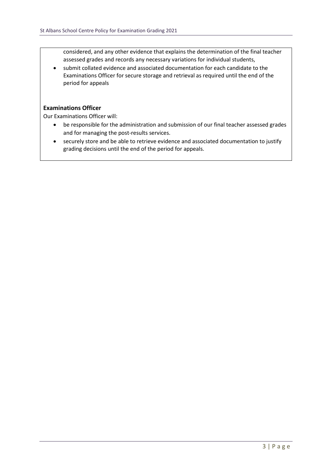considered, and any other evidence that explains the determination of the final teacher assessed grades and records any necessary variations for individual students,

• submit collated evidence and associated documentation for each candidate to the Examinations Officer for secure storage and retrieval as required until the end of the period for appeals

#### **Examinations Officer**

Our Examinations Officer will:

- be responsible for the administration and submission of our final teacher assessed grades and for managing the post-results services.
- securely store and be able to retrieve evidence and associated documentation to justify grading decisions until the end of the period for appeals.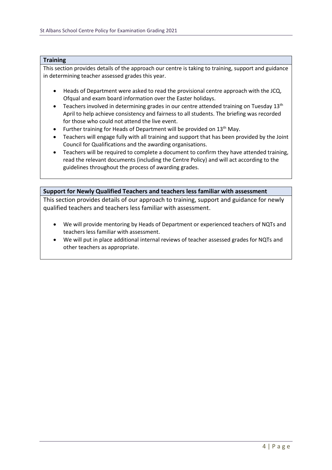#### **Training**

This section provides details of the approach our centre is taking to training, support and guidance in determining teacher assessed grades this year.

- Heads of Department were asked to read the provisional centre approach with the JCQ, Ofqual and exam board information over the Easter holidays.
- Teachers involved in determining grades in our centre attended training on Tuesday  $13<sup>th</sup>$ April to help achieve consistency and fairness to all students. The briefing was recorded for those who could not attend the live event.
- Further training for Heads of Department will be provided on  $13<sup>th</sup>$  May.
- Teachers will engage fully with all training and support that has been provided by the Joint Council for Qualifications and the awarding organisations.
- Teachers will be required to complete a document to confirm they have attended training, read the relevant documents (including the Centre Policy) and will act according to the guidelines throughout the process of awarding grades.

#### **Support for Newly Qualified Teachers and teachers less familiar with assessment**

This section provides details of our approach to training, support and guidance for newly qualified teachers and teachers less familiar with assessment.

- We will provide mentoring by Heads of Department or experienced teachers of NQTs and teachers less familiar with assessment.
- We will put in place additional internal reviews of teacher assessed grades for NQTs and other teachers as appropriate.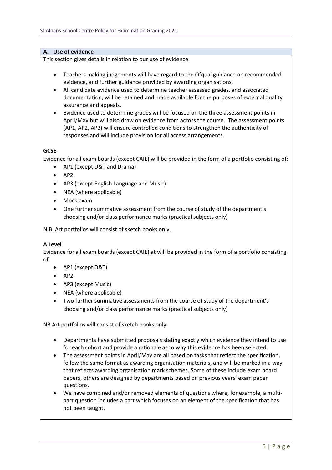#### **A. Use of evidence**

This section gives details in relation to our use of evidence.

- Teachers making judgements will have regard to the Ofqual guidance on recommended evidence, and further guidance provided by awarding organisations.
- All candidate evidence used to determine teacher assessed grades, and associated documentation, will be retained and made available for the purposes of external quality assurance and appeals.
- Evidence used to determine grades will be focused on the three assessment points in April/May but will also draw on evidence from across the course. The assessment points (AP1, AP2, AP3) will ensure controlled conditions to strengthen the authenticity of responses and will include provision for all access arrangements.

#### **GCSE**

Evidence for all exam boards (except CAIE) will be provided in the form of a portfolio consisting of:

- AP1 (except D&T and Drama)
- AP2
- AP3 (except English Language and Music)
- NEA (where applicable)
- Mock exam
- One further summative assessment from the course of study of the department's choosing and/or class performance marks (practical subjects only)

N.B. Art portfolios will consist of sketch books only.

#### **A Level**

Evidence for all exam boards (except CAIE) at will be provided in the form of a portfolio consisting of:

- AP1 (except D&T)
- AP2
- AP3 (except Music)
- NEA (where applicable)
- Two further summative assessments from the course of study of the department's choosing and/or class performance marks (practical subjects only)

NB Art portfolios will consist of sketch books only.

- Departments have submitted proposals stating exactly which evidence they intend to use for each cohort and provide a rationale as to why this evidence has been selected.
- The assessment points in April/May are all based on tasks that reflect the specification, follow the same format as awarding organisation materials, and will be marked in a way that reflects awarding organisation mark schemes. Some of these include exam board papers, others are designed by departments based on previous years' exam paper questions.
- We have combined and/or removed elements of questions where, for example, a multipart question includes a part which focuses on an element of the specification that has not been taught.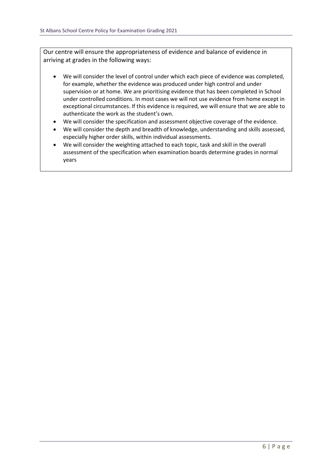Our centre will ensure the appropriateness of evidence and balance of evidence in arriving at grades in the following ways:

- We will consider the level of control under which each piece of evidence was completed, for example, whether the evidence was produced under high control and under supervision or at home. We are prioritising evidence that has been completed in School under controlled conditions. In most cases we will not use evidence from home except in exceptional circumstances. If this evidence is required, we will ensure that we are able to authenticate the work as the student's own.
- We will consider the specification and assessment objective coverage of the evidence.
- We will consider the depth and breadth of knowledge, understanding and skills assessed, especially higher order skills, within individual assessments.
- We will consider the weighting attached to each topic, task and skill in the overall assessment of the specification when examination boards determine grades in normal years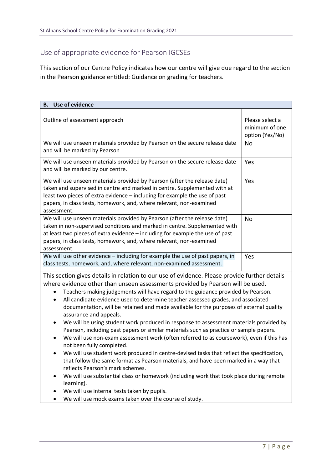### Use of appropriate evidence for Pearson IGCSEs

This section of our Centre Policy indicates how our centre will give due regard to the section in the Pearson guidance entitled: Guidance on grading for teachers.

| <b>B.</b> Use of evidence                                                                                                                                                                                                                                                                                                                                                                                                                                                                                                                                                                                                                                                                                                                                                                                                                                                                                                                                                                                                                                                                                                                                                               |                                                      |
|-----------------------------------------------------------------------------------------------------------------------------------------------------------------------------------------------------------------------------------------------------------------------------------------------------------------------------------------------------------------------------------------------------------------------------------------------------------------------------------------------------------------------------------------------------------------------------------------------------------------------------------------------------------------------------------------------------------------------------------------------------------------------------------------------------------------------------------------------------------------------------------------------------------------------------------------------------------------------------------------------------------------------------------------------------------------------------------------------------------------------------------------------------------------------------------------|------------------------------------------------------|
| Outline of assessment approach                                                                                                                                                                                                                                                                                                                                                                                                                                                                                                                                                                                                                                                                                                                                                                                                                                                                                                                                                                                                                                                                                                                                                          | Please select a<br>minimum of one<br>option (Yes/No) |
| We will use unseen materials provided by Pearson on the secure release date<br>and will be marked by Pearson                                                                                                                                                                                                                                                                                                                                                                                                                                                                                                                                                                                                                                                                                                                                                                                                                                                                                                                                                                                                                                                                            | <b>No</b>                                            |
| We will use unseen materials provided by Pearson on the secure release date<br>and will be marked by our centre.                                                                                                                                                                                                                                                                                                                                                                                                                                                                                                                                                                                                                                                                                                                                                                                                                                                                                                                                                                                                                                                                        | Yes                                                  |
| We will use unseen materials provided by Pearson (after the release date)<br>taken and supervised in centre and marked in centre. Supplemented with at<br>least two pieces of extra evidence - including for example the use of past<br>papers, in class tests, homework, and, where relevant, non-examined<br>assessment.                                                                                                                                                                                                                                                                                                                                                                                                                                                                                                                                                                                                                                                                                                                                                                                                                                                              | Yes                                                  |
| We will use unseen materials provided by Pearson (after the release date)<br>taken in non-supervised conditions and marked in centre. Supplemented with<br>at least two pieces of extra evidence - including for example the use of past<br>papers, in class tests, homework, and, where relevant, non-examined<br>assessment.                                                                                                                                                                                                                                                                                                                                                                                                                                                                                                                                                                                                                                                                                                                                                                                                                                                          | <b>No</b>                                            |
| We will use other evidence - including for example the use of past papers, in<br>class tests, homework, and, where relevant, non-examined assessment.                                                                                                                                                                                                                                                                                                                                                                                                                                                                                                                                                                                                                                                                                                                                                                                                                                                                                                                                                                                                                                   | Yes                                                  |
| This section gives details in relation to our use of evidence. Please provide further details<br>where evidence other than unseen assessments provided by Pearson will be used.<br>Teachers making judgements will have regard to the guidance provided by Pearson.<br>All candidate evidence used to determine teacher assessed grades, and associated<br>$\bullet$<br>documentation, will be retained and made available for the purposes of external quality<br>assurance and appeals.<br>We will be using student work produced in response to assessment materials provided by<br>Pearson, including past papers or similar materials such as practice or sample papers.<br>We will use non-exam assessment work (often referred to as coursework), even if this has<br>not been fully completed.<br>We will use student work produced in centre-devised tasks that reflect the specification,<br>that follow the same format as Pearson materials, and have been marked in a way that<br>reflects Pearson's mark schemes.<br>We will use substantial class or homework (including work that took place during remote<br>learning).<br>We will use internal tests taken by pupils. |                                                      |
| We will use mock exams taken over the course of study.                                                                                                                                                                                                                                                                                                                                                                                                                                                                                                                                                                                                                                                                                                                                                                                                                                                                                                                                                                                                                                                                                                                                  |                                                      |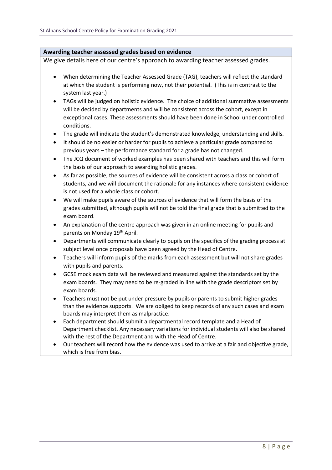#### **Awarding teacher assessed grades based on evidence**

We give details here of our centre's approach to awarding teacher assessed grades*.*

- When determining the Teacher Assessed Grade (TAG), teachers will reflect the standard at which the student is performing now, not their potential. (This is in contrast to the system last year.)
- TAGs will be judged on holistic evidence. The choice of additional summative assessments will be decided by departments and will be consistent across the cohort, except in exceptional cases. These assessments should have been done in School under controlled conditions.
- The grade will indicate the student's demonstrated knowledge, understanding and skills.
- It should be no easier or harder for pupils to achieve a particular grade compared to previous years – the performance standard for a grade has not changed.
- The JCQ document of worked examples has been shared with teachers and this will form the basis of our approach to awarding holistic grades.
- As far as possible, the sources of evidence will be consistent across a class or cohort of students, and we will document the rationale for any instances where consistent evidence is not used for a whole class or cohort.
- We will make pupils aware of the sources of evidence that will form the basis of the grades submitted, although pupils will not be told the final grade that is submitted to the exam board.
- An explanation of the centre approach was given in an online meeting for pupils and parents on Monday 19<sup>th</sup> April.
- Departments will communicate clearly to pupils on the specifics of the grading process at subject level once proposals have been agreed by the Head of Centre.
- Teachers will inform pupils of the marks from each assessment but will not share grades with pupils and parents.
- GCSE mock exam data will be reviewed and measured against the standards set by the exam boards. They may need to be re-graded in line with the grade descriptors set by exam boards.
- Teachers must not be put under pressure by pupils or parents to submit higher grades than the evidence supports. We are obliged to keep records of any such cases and exam boards may interpret them as malpractice.
- Each department should submit a departmental record template and a Head of Department checklist. Any necessary variations for individual students will also be shared with the rest of the Department and with the Head of Centre.
- Our teachers will record how the evidence was used to arrive at a fair and objective grade, which is free from bias.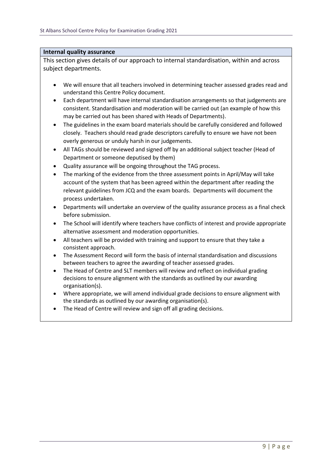#### **Internal quality assurance**

This section gives details of our approach to internal standardisation, within and across subject departments.

- We will ensure that all teachers involved in determining teacher assessed grades read and understand this Centre Policy document.
- Each department will have internal standardisation arrangements so that judgements are consistent. Standardisation and moderation will be carried out (an example of how this may be carried out has been shared with Heads of Departments).
- The guidelines in the exam board materials should be carefully considered and followed closely. Teachers should read grade descriptors carefully to ensure we have not been overly generous or unduly harsh in our judgements.
- All TAGs should be reviewed and signed off by an additional subject teacher (Head of Department or someone deputised by them)
- Quality assurance will be ongoing throughout the TAG process.
- The marking of the evidence from the three assessment points in April/May will take account of the system that has been agreed within the department after reading the relevant guidelines from JCQ and the exam boards. Departments will document the process undertaken.
- Departments will undertake an overview of the quality assurance process as a final check before submission.
- The School will identify where teachers have conflicts of interest and provide appropriate alternative assessment and moderation opportunities.
- All teachers will be provided with training and support to ensure that they take a consistent approach.
- The Assessment Record will form the basis of internal standardisation and discussions between teachers to agree the awarding of teacher assessed grades.
- The Head of Centre and SLT members will review and reflect on individual grading decisions to ensure alignment with the standards as outlined by our awarding organisation(s).
- Where appropriate, we will amend individual grade decisions to ensure alignment with the standards as outlined by our awarding organisation(s).
- The Head of Centre will review and sign off all grading decisions.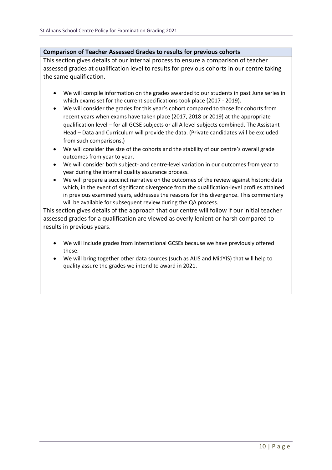#### **Comparison of Teacher Assessed Grades to results for previous cohorts**

This section gives details of our internal process to ensure a comparison of teacher assessed grades at qualification level to results for previous cohorts in our centre taking the same qualification.

- We will compile information on the grades awarded to our students in past June series in which exams set for the current specifications took place (2017 - 2019).
- We will consider the grades for this year's cohort compared to those for cohorts from recent years when exams have taken place (2017, 2018 or 2019) at the appropriate qualification level – for all GCSE subjects or all A level subjects combined. The Assistant Head – Data and Curriculum will provide the data. (Private candidates will be excluded from such comparisons.)
- We will consider the size of the cohorts and the stability of our centre's overall grade outcomes from year to year.
- We will consider both subject- and centre-level variation in our outcomes from year to year during the internal quality assurance process.
- We will prepare a succinct narrative on the outcomes of the review against historic data which, in the event of significant divergence from the qualification-level profiles attained in previous examined years, addresses the reasons for this divergence. This commentary will be available for subsequent review during the QA process.

This section gives details of the approach that our centre will follow if our initial teacher assessed grades for a qualification are viewed as overly lenient or harsh compared to results in previous years.

- We will include grades from international GCSEs because we have previously offered these.
- We will bring together other data sources (such as ALIS and MidYIS) that will help to quality assure the grades we intend to award in 2021.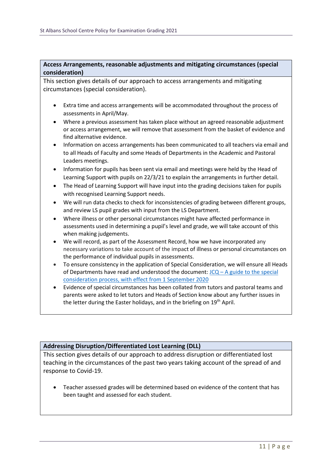#### **Access Arrangements, reasonable adjustments and mitigating circumstances (special consideration)**

This section gives details of our approach to access arrangements and mitigating circumstances (special consideration).

- Extra time and access arrangements will be accommodated throughout the process of assessments in April/May.
- Where a previous assessment has taken place without an agreed reasonable adjustment or access arrangement, we will remove that assessment from the basket of evidence and find alternative evidence.
- Information on access arrangements has been communicated to all teachers via email and to all Heads of Faculty and some Heads of Departments in the Academic and Pastoral Leaders meetings.
- Information for pupils has been sent via email and meetings were held by the Head of Learning Support with pupils on 22/3/21 to explain the arrangements in further detail.
- The Head of Learning Support will have input into the grading decisions taken for pupils with recognised Learning Support needs.
- We will run data checks to check for inconsistencies of grading between different groups, and review LS pupil grades with input from the LS Department.
- Where illness or other personal circumstances might have affected performance in assessments used in determining a pupil's level and grade, we will take account of this when making judgements.
- We will record, as part of the Assessment Record, how we have incorporated any necessary variations to take account of the impact of illness or personal circumstances on the performance of individual pupils in assessments.
- To ensure consistency in the application of Special Consideration, we will ensure all Heads of Departments have read and understood the document:  $JCQ - A$  guide to the special [consideration process, with effect from 1 September 2020](https://www.jcq.org.uk/wp-content/uploads/2020/08/A-guide-to-the-spec-con-process-202021-Website-version.pdf)
- Evidence of special circumstances has been collated from tutors and pastoral teams and parents were asked to let tutors and Heads of Section know about any further issues in the letter during the Easter holidays, and in the briefing on 19<sup>th</sup> April.

#### **Addressing Disruption/Differentiated Lost Learning (DLL)**

This section gives details of our approach to address disruption or differentiated lost teaching in the circumstances of the past two years taking account of the spread of and response to Covid-19.

• Teacher assessed grades will be determined based on evidence of the content that has been taught and assessed for each student.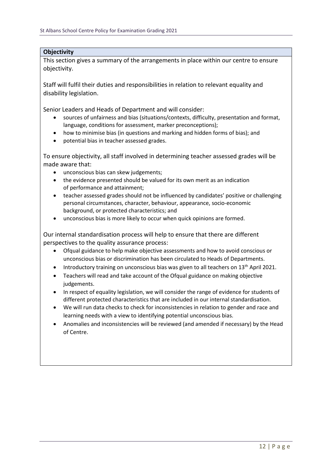#### **Objectivity**

This section gives a summary of the arrangements in place within our centre to ensure objectivity.

Staff will fulfil their duties and responsibilities in relation to relevant equality and disability legislation.

Senior Leaders and Heads of Department and will consider:

- sources of unfairness and bias (situations/contexts, difficulty, presentation and format, language, conditions for assessment, marker preconceptions);
- how to minimise bias (in questions and marking and hidden forms of bias); and
- potential bias in teacher assessed grades.

To ensure objectivity, all staff involved in determining teacher assessed grades will be made aware that:

- unconscious bias can skew judgements;
- the evidence presented should be valued for its own merit as an indication of performance and attainment;
- teacher assessed grades should not be influenced by candidates' positive or challenging personal circumstances, character, behaviour, appearance, socio-economic background, or protected characteristics; and
- unconscious bias is more likely to occur when quick opinions are formed.

Our internal standardisation process will help to ensure that there are different perspectives to the quality assurance process:

- Ofqual guidance to help make objective assessments and how to avoid conscious or unconscious bias or discrimination has been circulated to Heads of Departments.
- $\bullet$  Introductory training on unconscious bias was given to all teachers on 13<sup>th</sup> April 2021.
- Teachers will read and take account of the Ofqual guidance on making objective judgements.
- In respect of equality legislation, we will consider the range of evidence for students of different protected characteristics that are included in our internal standardisation.
- We will run data checks to check for inconsistencies in relation to gender and race and learning needs with a view to identifying potential unconscious bias.
- Anomalies and inconsistencies will be reviewed (and amended if necessary) by the Head of Centre.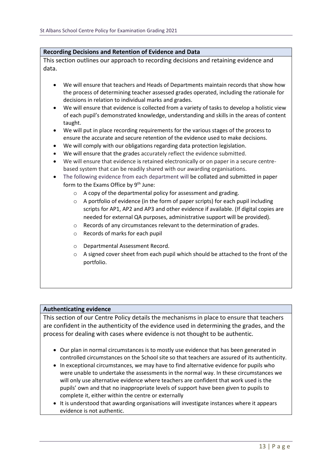#### **Recording Decisions and Retention of Evidence and Data**

This section outlines our approach to recording decisions and retaining evidence and data.

- We will ensure that teachers and Heads of Departments maintain records that show how the process of determining teacher assessed grades operated, including the rationale for decisions in relation to individual marks and grades.
- We will ensure that evidence is collected from a variety of tasks to develop a holistic view of each pupil's demonstrated knowledge, understanding and skills in the areas of content taught.
- We will put in place recording requirements for the various stages of the process to ensure the accurate and secure retention of the evidence used to make decisions.
- We will comply with our obligations regarding data protection legislation.
- We will ensure that the grades accurately reflect the evidence submitted.
- We will ensure that evidence is retained electronically or on paper in a secure centrebased system that can be readily shared with our awarding organisations.
- The following evidence from each department will be collated and submitted in paper form to the Exams Office by 9<sup>th</sup> June:
	- o A copy of the departmental policy for assessment and grading.
	- o A portfolio of evidence (in the form of paper scripts) for each pupil including scripts for AP1, AP2 and AP3 and other evidence if available. (If digital copies are needed for external QA purposes, administrative support will be provided).
	- o Records of any circumstances relevant to the determination of grades.
	- o Records of marks for each pupil
	- o Departmental Assessment Record.
	- $\circ$  A signed cover sheet from each pupil which should be attached to the front of the portfolio.

#### **Authenticating evidence**

This section of our Centre Policy details the mechanisms in place to ensure that teachers are confident in the authenticity of the evidence used in determining the grades, and the process for dealing with cases where evidence is not thought to be authentic.

- Our plan in normal circumstances is to mostly use evidence that has been generated in controlled circumstances on the School site so that teachers are assured of its authenticity.
- In exceptional circumstances, we may have to find alternative evidence for pupils who were unable to undertake the assessments in the normal way. In these circumstances we will only use alternative evidence where teachers are confident that work used is the pupils' own and that no inappropriate levels of support have been given to pupils to complete it, either within the centre or externally
- It is understood that awarding organisations will investigate instances where it appears evidence is not authentic.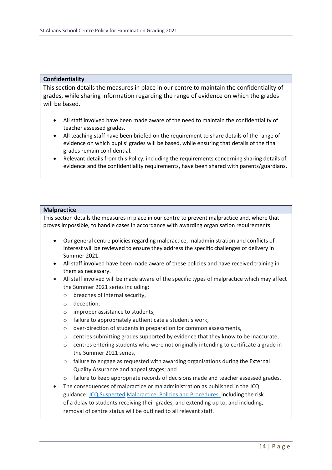#### **Confidentiality**

This section details the measures in place in our centre to maintain the confidentiality of grades, while sharing information regarding the range of evidence on which the grades will be based.

- All staff involved have been made aware of the need to maintain the confidentiality of teacher assessed grades.
- All teaching staff have been briefed on the requirement to share details of the range of evidence on which pupils' grades will be based, while ensuring that details of the final grades remain confidential.
- Relevant details from this Policy, including the requirements concerning sharing details of evidence and the confidentiality requirements, have been shared with parents/guardians.

#### **Malpractice**

This section details the measures in place in our centre to prevent malpractice and, where that proves impossible, to handle cases in accordance with awarding organisation requirements.

- Our general centre policies regarding malpractice, maladministration and conflicts of interest will be reviewed to ensure they address the specific challenges of delivery in Summer 2021.
- All staff involved have been made aware of these policies and have received training in them as necessary.
- All staff involved will be made aware of the specific types of malpractice which may affect the Summer 2021 series including:
	- o breaches of internal security,
	- o deception,
	- o improper assistance to students,
	- o failure to appropriately authenticate a student's work,
	- o over-direction of students in preparation for common assessments,
	- $\circ$  centres submitting grades supported by evidence that they know to be inaccurate,
	- $\circ$  centres entering students who were not originally intending to certificate a grade in the Summer 2021 series,
	- $\circ$  failure to engage as requested with awarding organisations during the External Quality Assurance and appeal stages; and
	- o failure to keep appropriate records of decisions made and teacher assessed grades.
- The consequences of malpractice or maladministration as published in the JCQ guidance: [JCQ Suspected](https://www.jcq.org.uk/exams-office/malpractice/jcq-suspected-malpractice-policies-and-procedures-2019-2020) Malpractice: Policies and Procedures, including the risk of a delay to students receiving their grades, and extending up to, and including, removal of centre status will be outlined to all relevant staff.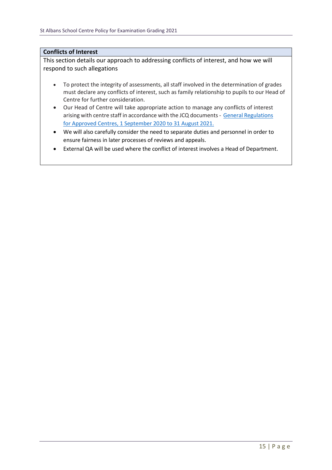#### **Conflicts of Interest**

This section details our approach to addressing conflicts of interest, and how we will respond to such allegations

- To protect the integrity of assessments, all staff involved in the determination of grades must declare any conflicts of interest, such as family relationship to pupils to our Head of Centre for further consideration.
- Our Head of Centre will take appropriate action to manage any conflicts of interest arising with centre staff in accordance with the JCQ documents- [General Regulations](https://www.jcq.org.uk/wp-content/uploads/2020/09/Gen_regs_approved_centres_20-21_FINAL.pdf)  [for Approved Centres, 1 September 2020 to 31 August 2021.](https://www.jcq.org.uk/wp-content/uploads/2020/09/Gen_regs_approved_centres_20-21_FINAL.pdf)
- We will also carefully consider the need to separate duties and personnel in order to ensure fairness in later processes of reviews and appeals.
- External QA will be used where the conflict of interest involves a Head of Department.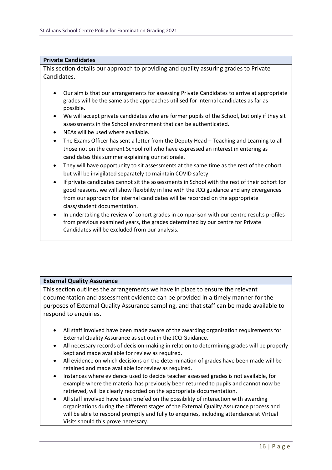#### **Private Candidates**

This section details our approach to providing and quality assuring grades to Private Candidates.

- Our aim is that our arrangements for assessing Private Candidates to arrive at appropriate grades will be the same as the approaches utilised for internal candidates as far as possible.
- We will accept private candidates who are former pupils of the School, but only if they sit assessments in the School environment that can be authenticated.
- NEAs will be used where available.
- The Exams Officer has sent a letter from the Deputy Head Teaching and Learning to all those not on the current School roll who have expressed an interest in entering as candidates this summer explaining our rationale.
- They will have opportunity to sit assessments at the same time as the rest of the cohort but will be invigilated separately to maintain COVID safety.
- If private candidates cannot sit the assessments in School with the rest of their cohort for good reasons, we will show flexibility in line with the JCQ guidance and any divergences from our approach for internal candidates will be recorded on the appropriate class/student documentation.
- In undertaking the review of cohort grades in comparison with our centre results profiles from previous examined years, the grades determined by our centre for Private Candidates will be excluded from our analysis.

#### **External Quality Assurance**

This section outlines the arrangements we have in place to ensure the relevant documentation and assessment evidence can be provided in a timely manner for the purposes of External Quality Assurance sampling, and that staff can be made available to respond to enquiries.

- All staff involved have been made aware of the awarding organisation requirements for External Quality Assurance as set out in the JCQ Guidance.
- All necessary records of decision-making in relation to determining grades will be properly kept and made available for review as required.
- All evidence on which decisions on the determination of grades have been made will be retained and made available for review as required.
- Instances where evidence used to decide teacher assessed grades is not available, for example where the material has previously been returned to pupils and cannot now be retrieved, will be clearly recorded on the appropriate documentation.
- All staff involved have been briefed on the possibility of interaction with awarding organisations during the different stages of the External Quality Assurance process and will be able to respond promptly and fully to enquiries, including attendance at Virtual Visits should this prove necessary.